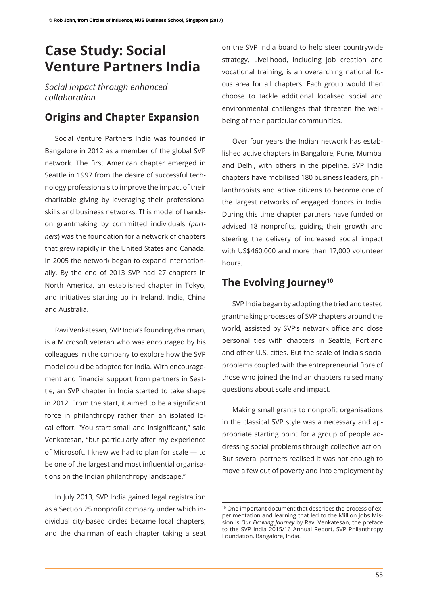## **Case Study: Social Venture Partners India**

*Social impact through enhanced collaboration*

## **Origins and Chapter Expansion**

Social Venture Partners India was founded in Bangalore in 2012 as a member of the global SVP network. The first American chapter emerged in Seattle in 1997 from the desire of successful technology professionals to improve the impact of their charitable giving by leveraging their professional skills and business networks. This model of handson grantmaking by committed individuals (*partners*) was the foundation for a network of chapters that grew rapidly in the United States and Canada. In 2005 the network began to expand internationally. By the end of 2013 SVP had 27 chapters in North America, an established chapter in Tokyo, and initiatives starting up in Ireland, India, China and Australia.

Ravi Venkatesan, SVP India's founding chairman, is a Microsoft veteran who was encouraged by his colleagues in the company to explore how the SVP model could be adapted for India. With encouragement and financial support from partners in Seattle, an SVP chapter in India started to take shape in 2012. From the start, it aimed to be a signifcant force in philanthropy rather than an isolated local effort. "You start small and insignificant," said Venkatesan, "but particularly after my experience of Microsoft, I knew we had to plan for scale — to be one of the largest and most infuential organisations on the Indian philanthropy landscape."

In July 2013, SVP India gained legal registration as a Section 25 nonprofit company under which individual city-based circles became local chapters, and the chairman of each chapter taking a seat

on the SVP India board to help steer countrywide strategy. Livelihood, including job creation and vocational training, is an overarching national focus area for all chapters. Each group would then choose to tackle additional localised social and environmental challenges that threaten the wellbeing of their particular communities.

Over four years the Indian network has established active chapters in Bangalore, Pune, Mumbai and Delhi, with others in the pipeline. SVP India chapters have mobilised 180 business leaders, philanthropists and active citizens to become one of the largest networks of engaged donors in India. During this time chapter partners have funded or advised 18 nonprofits, guiding their growth and steering the delivery of increased social impact with US\$460,000 and more than 17,000 volunteer hours.

## **The Evolving Journey10**

SVP India began by adopting the tried and tested grantmaking processes of SVP chapters around the world, assisted by SVP's network office and close personal ties with chapters in Seattle, Portland and other U.S. cities. But the scale of India's social problems coupled with the entrepreneurial fibre of those who joined the Indian chapters raised many questions about scale and impact.

Making small grants to nonproft organisations in the classical SVP style was a necessary and appropriate starting point for a group of people addressing social problems through collective action. But several partners realised it was not enough to move a few out of poverty and into employment by

<sup>10</sup> One important document that describes the process of experimentation and learning that led to the Million Jobs Mission is *Our Evolving Journey* by Ravi Venkatesan, the preface to the SVP India 2015/16 Annual Report, SVP Philanthropy Foundation, Bangalore, India.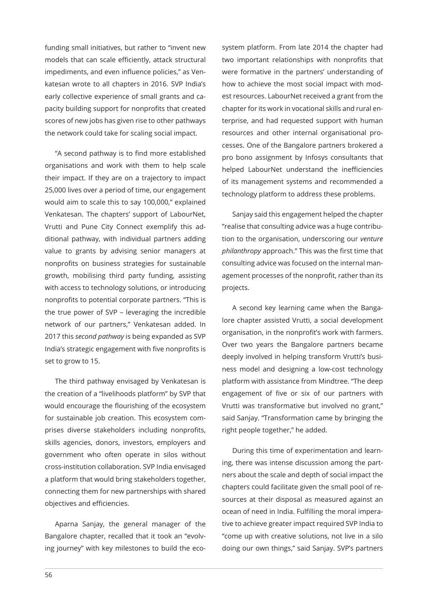funding small initiatives, but rather to "invent new models that can scale efficiently, attack structural impediments, and even infuence policies," as Venkatesan wrote to all chapters in 2016. SVP India's early collective experience of small grants and capacity building support for nonprofits that created scores of new jobs has given rise to other pathways the network could take for scaling social impact.

"A second pathway is to find more established organisations and work with them to help scale their impact. If they are on a trajectory to impact 25,000 lives over a period of time, our engagement would aim to scale this to say 100,000," explained Venkatesan. The chapters' support of LabourNet, Vrutti and Pune City Connect exemplify this additional pathway, with individual partners adding value to grants by advising senior managers at nonprofits on business strategies for sustainable growth, mobilising third party funding, assisting with access to technology solutions, or introducing nonprofits to potential corporate partners. "This is the true power of SVP – leveraging the incredible network of our partners," Venkatesan added. In 2017 this *second pathway* is being expanded as SVP India's strategic engagement with five nonprofits is set to grow to 15.

The third pathway envisaged by Venkatesan is the creation of a "livelihoods platform" by SVP that would encourage the flourishing of the ecosystem for sustainable job creation. This ecosystem comprises diverse stakeholders including nonprofits, skills agencies, donors, investors, employers and government who often operate in silos without cross-institution collaboration. SVP India envisaged a platform that would bring stakeholders together, connecting them for new partnerships with shared objectives and efficiencies.

Aparna Sanjay, the general manager of the Bangalore chapter, recalled that it took an "evolving journey" with key milestones to build the ecosystem platform. From late 2014 the chapter had two important relationships with nonprofits that were formative in the partners' understanding of how to achieve the most social impact with modest resources. LabourNet received a grant from the chapter for its work in vocational skills and rural enterprise, and had requested support with human resources and other internal organisational processes. One of the Bangalore partners brokered a pro bono assignment by Infosys consultants that helped LabourNet understand the inefficiencies of its management systems and recommended a technology platform to address these problems.

Sanjay said this engagement helped the chapter "realise that consulting advice was a huge contribution to the organisation, underscoring our *venture philanthropy* approach." This was the frst time that consulting advice was focused on the internal management processes of the nonprofit, rather than its projects.

A second key learning came when the Bangalore chapter assisted Vrutti, a social development organisation, in the nonprofit's work with farmers. Over two years the Bangalore partners became deeply involved in helping transform Vrutti's business model and designing a low-cost technology platform with assistance from Mindtree. "The deep engagement of five or six of our partners with Vrutti was transformative but involved no grant," said Sanjay. "Transformation came by bringing the right people together," he added.

During this time of experimentation and learning, there was intense discussion among the partners about the scale and depth of social impact the chapters could facilitate given the small pool of resources at their disposal as measured against an ocean of need in India. Fulfilling the moral imperative to achieve greater impact required SVP India to "come up with creative solutions, not live in a silo doing our own things," said Sanjay. SVP's partners